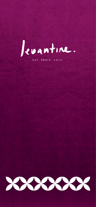

Eat. Share. Love.



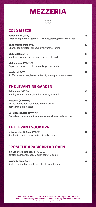## **MEZZERIA**

## **COLD MEZZE**

| <b>Raheb Salad (V/N)</b><br>Smoked eggplant, vegetables, walnuts, pomegranate molasses |    |
|----------------------------------------------------------------------------------------|----|
| <b>Mutabal Badenjan (VE)</b><br>Chargrilled eggplant purée, pomegranate, tahini        | 42 |
| <b>Mutabal Kousa (D)</b><br>Smoked zucchini purée, yogurt, tahini, olive oil           | 38 |
| <b>Muhammara (VE/N/G)</b><br>Capsicum, breadcrumbs, walnuts, pomegranate               | 32 |
| <b>Innabiyeh (VE)</b><br>Chuffed wire begung began allen all margarenate medagaas      | 42 |

#### Stuffed wine leaves, lemon, olive oil, pomegranate molasses

### **THE LEVANTINE GARDEN**

**Tabbouleh (VE/G) 38** Parsley, tomato, onion, burghul, lemon, olive oil **Fattoush (VE/G/N) 48** Mixed greens, raw vegetable, sumac bread, pomegranate molasses **Date Rocca Salad (D/V/N) 48** Arugula, onion, candied walnuts, goats' cheese, dates syrup

### **THE LEVANT SOUP URN**

**Lebanese Lentil Soup (VE/G) 42** Red lentil, cumin, lemon, olive oil, baked khubz

### **FROM THE ARABIC BREAD OVEN**

**3 X Lebanese Manaeesh (N/D/G) 58**

Za'atar, kashkaval cheese, spicy tomato, cumin

#### **Syrian Arayes (G/N) 52**

Stuffed Syrian flatbread, zesty lamb, tomato, mint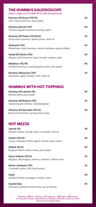### **HUMMUS WITH HOT TOPPINGS**

#### **Hummus Bil Lahmeh (N) 50**

Braised lamb, pine seeds

**Hummus Bil Rubiyan (SF) 52** Sautéed garlic shrimp, roasted pepper

**Hummus Bil Qarnabit (VE/G) 48** Broccolini hummus, spring onion salsa

### **HOT MEZZE**

**Jebneh (D) 38** Akkawi cheese, spring onion, coriander, chili oil

**Falafel (VE/N) 38** Crispy chickpea fritters, garlic tomato salsa, tahini

#### **Kibbeh (N/G) 40** Burghul fritters, lamb, onion, pine seeds

#### **Qatari Kibbeh (SF/G) 52**

Burghul, red snapper, prawns, calamari, saffron aioli

**Batata Jabaliyeh (VE) 32** Coriander, green chili, fried potato

**Sujuk 48** Sautéed Arabic sausages, tomato, onion

**Sawdat Djaj 40** Aromatic sautéed chicken liver, ras-el hanout

### **THE HUMMUS KALEIDOSCOPE**

Order a flight of 6 for QAR 98 or individual portions:

| Hummus Bil Karaz (VE/N)<br>Sour cherry hummus, pine seeds                       | 42 |
|---------------------------------------------------------------------------------|----|
| <b>Hummus Beiruti (VE)</b><br>Tomato-paprika hummus, parsley, garlic            | 40 |
| Hummus Bil Dukka (VE/N/G)<br>Gaza-style hummus, dukka spices, olive oil         | 42 |
| <b>Qudsiyeh (VE)</b><br>Palestinian-style hummus, whole chickpeas, green shatta | 42 |
| <b>Halabi Bil Shatta (VE)</b><br>Aleppo-style hummus, spicy tomato-pepper salsa | 40 |
| <b>Mdakhan (VE/N)</b><br>Smoked hummus, roasted garlic purée, pine seeds        | 40 |
| <b>Hummus Mutamam (VE)</b><br>Equa hean salad tomato mint olive oil             | 42 |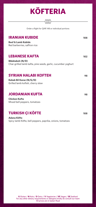

**Beef & Lamb Kubide** Red barberries, saffron rice

### **LEBANESE KAFTA** 102

**Mdahabeh (N/D)** Char-grilled lamb kafta, pine seeds, garlic, cucumber yoghurt

#### **SYRIAN HALABI KOFTEH 98**

**Kebab Bil Karaz (N/G/D)** Grilled lamb kofteh, cherry stew

#### **JORDANIAN KUFTA 98**

**Chicken Kufta**  Mixed bell peppers, tomatoes

## **TURKISH ÇI KÖFTE** 108

**Adana Köfte**  Spicy lamb Köfte, bell peppers, paprika, onions, tomatoes

Order a flight for QAR 148 or individual portions

#### **IRANIAN KUBIDE** 108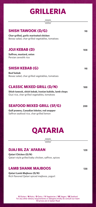# **GRILLERIA**

### SHISH TAWOOK (D/G) 98

**Char-grilled, garlic marinated chicken** Bewaz salad, char-grilled vegetables, tomatoes

### **JOJI KEBAB (D)** 108

**Saffron, mustard, onion** Persian zereshk rice

## **SHISH KEBAB (G) 98**

#### **Beef kebab** Bewaz salad, char-grilled vegetables, tomatoes

### **CLASSIC MIXED GRILL (D/N) 188**

**Shish tawook, shish kebab, Iranian kubide, lamb chops** Ouzi rice, char-grilled vegetables, tomatoes

### **SEAFOOD MIXED GRILL (SF/G) 288**

**Gulf prawns, Canadian lobster, red snapper** Saffron seafood rice, char-grilled lemon



#### **DJAJ BIL ZA`AFARAN 128**

#### **Qatari Chicken (D/N)** Qatari-style grilled baby chicken, saffron, spices

### **LAMB SHANK MAJBOOS 138**

**Qatari Lamb Majboos (D/N)**

Rich flavored Qatari spiced majboos, yogurt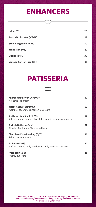## **ENHANCERS**

| Laban (D)                        | 20 |
|----------------------------------|----|
| Batata Bil Za`atar (VE/N)        | 28 |
| <b>Grilled Vegetables (VE)</b>   | 30 |
| <b>White Rice (VE)</b>           | 22 |
| <b>Ouzi Rice (N)</b>             | 30 |
| <b>Seafood Saffron Rice (SF)</b> | 35 |

## **PATISSERIA**

| Knafeh Nabulsiyeh (N/D/G)<br>Pistachio ice cream                                        |    |
|-----------------------------------------------------------------------------------------|----|
| Warm Katayef (N/D/G)<br>Walnuts, coconut, cinnamon ice cream                            |    |
| 5 x Qatari Luqaimat (G/N)<br>Saffron, pomegranate, chocolate, salted caramel, rosewater | 52 |
| <b>Turkish Baklava (G/N)</b><br>5 kinds of authentic Turkish baklava                    |    |
| <b>Chocolate-Date Pudding (D/G)</b><br>Salted caramel sauce                             |    |
| Za'faran (D/G)<br>Saffron scented milk, condensed milk, cheesecake style                | 52 |

#### **Fresh Fruit (VE) 48** Freshly cut fruits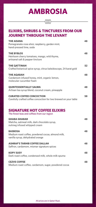All prices are in Qatari Riyal.

# **AMBROSIA**

Pomegranate-rose elixir, raspberry, garden mint, hand-pressed lime, soda

#### **THE BYBLOS 48**

Heirloom cherry tomatoes, mango, wild thyme, artisanal salt & pepper tincture

Crafted botanical spice syrup, citrus kaleidoscope, 24 karat gold

#### **THE AQABAH 48**

Cardamom infused honey, mint, organic lemon,

#### **THE QATTINAH 52**

molecular cucumber foam

### **ELIXIRS, SHRUBS & TINCTURES FROM OUR JOURNEY THROUGH THE LEVANT**

#### THE ADANA 48

| <b>QUINTESSENTIALLY SALWA</b><br>Artisan tea syrup blend, coconut cream, pineapple                      | 48 |
|---------------------------------------------------------------------------------------------------------|----|
| <b>CURATED COFFEE CONCOCTION</b><br>Carefully crafted coffee concoction for two brewed on your table    | 58 |
| <b>SIGNATURE HOT COFFEE ELIXIRS</b><br>The finest teas and coffees from our region                      |    |
| <b>GHABA GHABAR</b><br>Matcha, oatmeal milk, dark chocolate syrup,<br>nutmeg infused whipped cream      | 48 |
| <b>BASBOSA</b><br>Medium roast coffee, powdered cocoa, almond milk,<br>vanilla syrup, dehydrated orange | 48 |
| <b>ASHRAF'S TARHIB COFFEE DALLAH</b><br>Saffron, cardamom, mismar signature spices                      | 48 |
| <b>KOPY SUSY</b><br>Dark roast coffee, condensed milk, whole milk spuma                                 | 48 |

Dark roast coffee, condensed milk, whole milk spuma

#### **CEZVE COFFEE 48**

Medium roast coffee, cardamom, sugar, powdered cocoa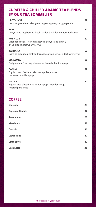**Espresso 28**

| <b>Espresso Double</b> | 32 |
|------------------------|----|
| <b>Americano</b>       | 28 |
| <b>Macchiato</b>       | 32 |
| <b>Cortado</b>         | 32 |
| <b>Cappuccino</b>      | 32 |
| <b>Caffe Latte</b>     | 32 |
| <b>Date Latte</b>      | 38 |

#### **LA-YOUNSA 52**

**SAYF** 52 Dehydrated raspberries, fresh garden basil, lemongrass reduction

#### **ROSY LUZ 52**

Jasmine green tea, dried green apple, apple syrup, ginger ale

Dried rose buds, fresh mint leaves, dehydrated ginger, dried orange, strawberry syrup

#### **ZAFRANA 52**

Jasmine green tea, saffron threads, saffron syrup, elderflower syrup

#### **MARAMIA 52**

Earl grey tea, fresh sage leaves, artisanal all-spice syrup

#### **CANIM 52**

English breakfast tea, dried red apples, cloves, cinnamon, vanilla syrup

**JALLAB 52**

English breakfast tea, hazelnut syrup, lavender syrup, roasted pistachios

### **CURATED & CHILLED ARABIC TEA BLENDS BY OUR TEA SOMMELIER**

### **COFFEE**

All prices are in Qatari Riyal.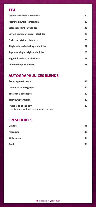All prices are in Qatari Riyal.

| Ceylon silver tips - white tea       | 32 |
|--------------------------------------|----|
| Jasmine flowers - green tea          | 32 |
| Moroccan mint - green tea            | 28 |
| Ceylon cinnamon spice - black tea    | 28 |
| Earl grey original - black tea       | 28 |
| Single estate darjeeling - black tea | 32 |
| Supreme single origin - black tea    | 28 |
| English breakfast - black tea        | 28 |
| <b>Chamomile pure flowers</b>        | 28 |

#### **AUTOGRAPH JUICES BLENDS**

| <b>Green apple &amp; carrot</b>                                            | 42 |
|----------------------------------------------------------------------------|----|
| Lemon, orange & ginger                                                     | 42 |
| <b>Beetroot &amp; pineapple</b>                                            | 42 |
| <b>Berry &amp; watermelon</b>                                              | 42 |
| <b>Fruit blend of the day</b><br>Freshly squeezed blended juice of the day | 42 |
| <b>FRESH JUICES</b>                                                        |    |
| <b>Orange</b>                                                              | 38 |
| <b>Pineapple</b>                                                           | 38 |
| Watermelon                                                                 | 38 |

### **TEA**

| <b>Apple</b> | 38 |
|--------------|----|
|              |    |